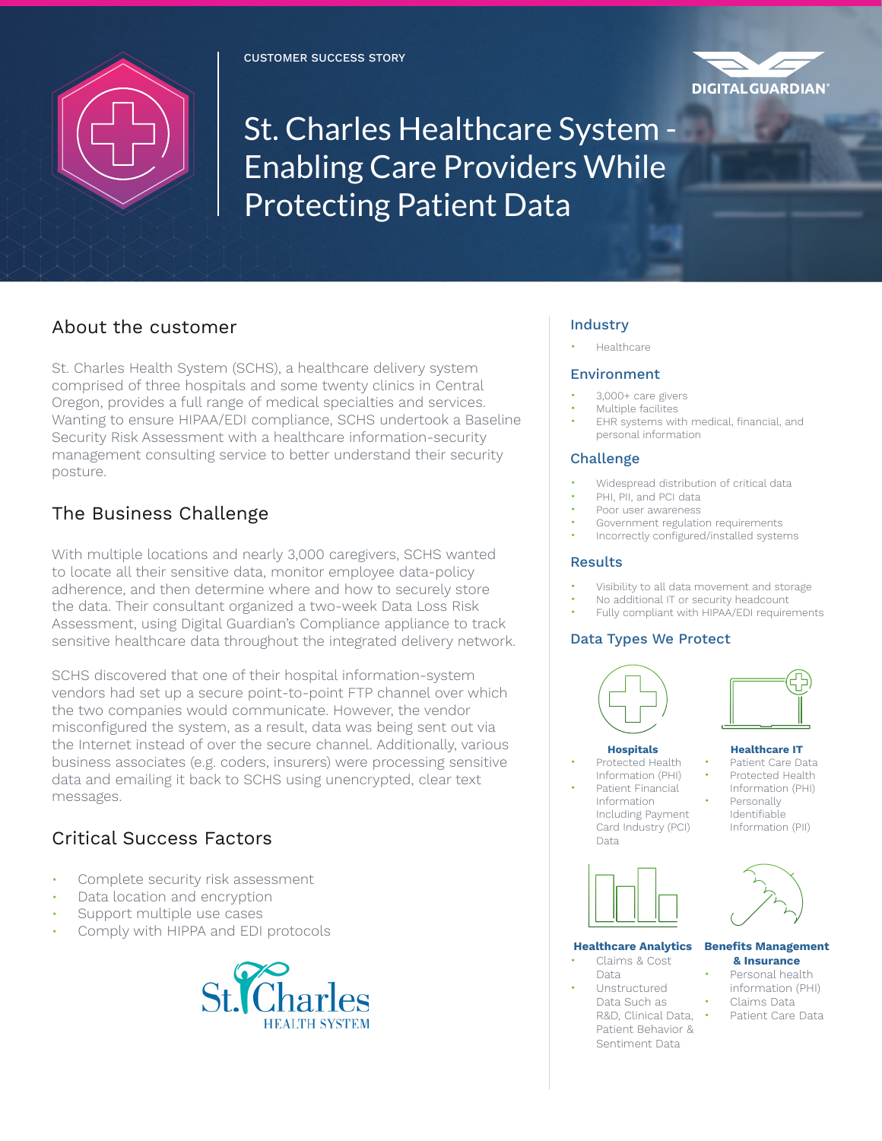



St. Charles Healthcare System -Enabling Care Providers While Protecting Patient Data

## About the customer

St. Charles Health System (SCHS), a healthcare delivery system comprised of three hospitals and some twenty clinics in Central Oregon, provides a full range of medical specialties and services. Wanting to ensure HIPAA/EDI compliance, SCHS undertook a Baseline Security Risk Assessment with a healthcare information-security management consulting service to better understand their security posture.

# The Business Challenge

With multiple locations and nearly 3,000 caregivers, SCHS wanted to locate all their sensitive data, monitor employee data-policy adherence, and then determine where and how to securely store the data. Their consultant organized a two-week Data Loss Risk Assessment, using Digital Guardian's Compliance appliance to track sensitive healthcare data throughout the integrated delivery network.

SCHS discovered that one of their hospital information-system vendors had set up a secure point-to-point FTP channel over which the two companies would communicate. However, the vendor misconfigured the system, as a result, data was being sent out via the Internet instead of over the secure channel. Additionally, various business associates (e.g. coders, insurers) were processing sensitive data and emailing it back to SCHS using unencrypted, clear text messages.

# Critical Success Factors

- Complete security risk assessment
- Data location and encryption
- Support multiple use cases
- Comply with HIPPA and EDI protocols



## Industry

• Healthcare

#### Environment

- 3,000+ care givers
- Multiple facilites
- EHR systems with medical, financial, and personal information

## Challenge

- Widespread distribution of critical data
- PHI, PII, and PCI data
- Poor user awareness
- Government regulation requirements
- Incorrectly configured/installed systems

## Results

- Visibility to all data movement and storage
- No additional IT or security headcount
- Fully compliant with HIPAA/EDI requirements

## Data Types We Protect



- Protected Health Information (PHI) Patient Financial
	- Information Including Payment Card Industry (PCI) Data



## **Hospitals**

- 
- **Healthcare IT** • Patient Care Data
- Protected Health
- Information (PHI) **Personally** Identifiable Information (PII)



#### **Healthcare Analytics Benefits Management**

- Claims & Cost Data
	- Unstructured Data Such as R&D, Clinical Data, Patient Behavior & Sentiment Data



# **& Insurance**

- Personal health information (PHI)
- Claims Data
- Patient Care Data